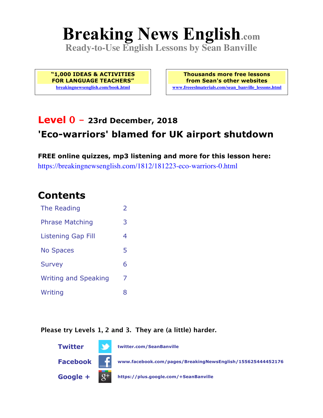# **Breaking News English.com**

**Ready-to-Use English Lessons by Sean Banville**

**"1,000 IDEAS & ACTIVITIES FOR LANGUAGE TEACHERS" breakingnewsenglish.com/book.html**

**Thousands more free lessons from Sean's other websites www.freeeslmaterials.com/sean\_banville\_lessons.html**

#### **Level 0 - 23rd December, 2018 'Eco-warriors' blamed for UK airport shutdown**

**FREE online quizzes, mp3 listening and more for this lesson here:** https://breakingnewsenglish.com/1812/181223-eco-warriors-0.html

#### **Contents**

| The Reading                 | $\overline{2}$ |
|-----------------------------|----------------|
| <b>Phrase Matching</b>      | 3              |
| <b>Listening Gap Fill</b>   | 4              |
| <b>No Spaces</b>            | 5              |
| <b>Survey</b>               | 6              |
| <b>Writing and Speaking</b> | 7              |
| Writing                     | 8              |

**Please try Levels 1, 2 and 3. They are (a little) harder.**

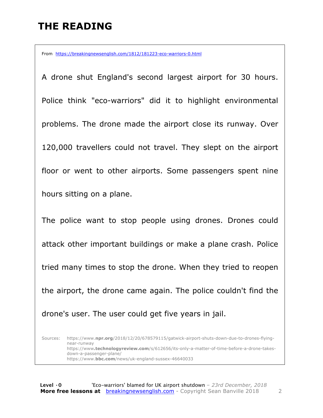# **THE READING**

From https://breakingnewsenglish.com/1812/181223-eco-warriors-0.html

A drone shut England's second largest airport for 30 hours. Police think "eco-warriors" did it to highlight environmental problems. The drone made the airport close its runway. Over 120,000 travellers could not travel. They slept on the airport floor or went to other airports. Some passengers spent nine hours sitting on a plane.

The police want to stop people using drones. Drones could attack other important buildings or make a plane crash. Police tried many times to stop the drone. When they tried to reopen the airport, the drone came again. The police couldn't find the drone's user. The user could get five years in jail.

Sources: https://www.**npr.org**/2018/12/20/678579115/gatwick-airport-shuts-down-due-to-drones-flyingnear-runway https://www**.technologyreview.com**/s/612656/its-only-a-matter-of-time-before-a-drone-takesdown-a-passenger-plane/ https://www.**bbc.com**/news/uk-england-sussex-46640033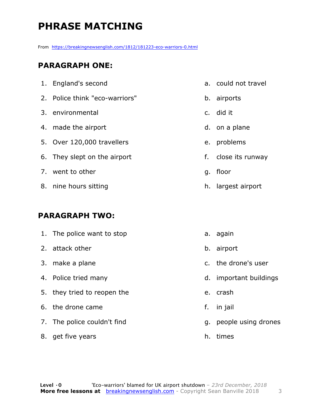# **PHRASE MATCHING**

From https://breakingnewsenglish.com/1812/181223-eco-warriors-0.html

#### **PARAGRAPH ONE:**

| 1. England's second            | a. could not travel |
|--------------------------------|---------------------|
| 2. Police think "eco-warriors" | b. airports         |
| 3. environmental               | c. did it           |
| 4. made the airport            | d. on a plane       |
| 5. Over 120,000 travellers     | e. problems         |
| 6. They slept on the airport   | f. close its runway |
| 7. went to other               | g. floor            |
| 8. nine hours sitting          | h. largest airport  |
|                                |                     |

#### **PARAGRAPH TWO:**

| 1. The police want to stop  |    | a. again            |
|-----------------------------|----|---------------------|
| 2. attack other             |    | b. airport          |
| 3. make a plane             |    | c. the drone's user |
| 4. Police tried many        | d. | important buildings |
| 5. they tried to reopen the | e. | crash               |
| 6. the drone came           | f. | in jail             |
| 7. The police couldn't find | q. | people using drones |
| 8. get five years           | h. | times               |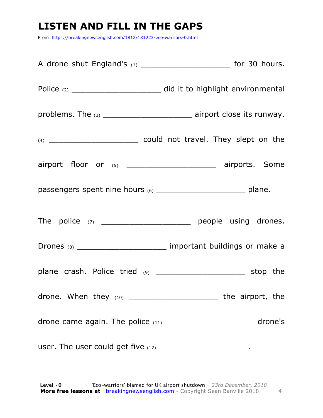# **LISTEN AND FILL IN THE GAPS**

From https://breakingnewsenglish.com/1812/181223-eco-warriors-0.html

|                                                               | problems. The (3) __________________________________ airport close its runway. |
|---------------------------------------------------------------|--------------------------------------------------------------------------------|
|                                                               |                                                                                |
|                                                               | airport floor or (5) ______________________ airports. Some                     |
|                                                               |                                                                                |
|                                                               | The police $(7)$ __________________________ people using drones.               |
|                                                               | Drones (8) ___________________________ important buildings or make a           |
|                                                               |                                                                                |
|                                                               | drone. When they (10) ________________________ the airport, the                |
|                                                               | drone came again. The police (11) ____________________________ drone's         |
| user. The user could get five (12) _________________________. |                                                                                |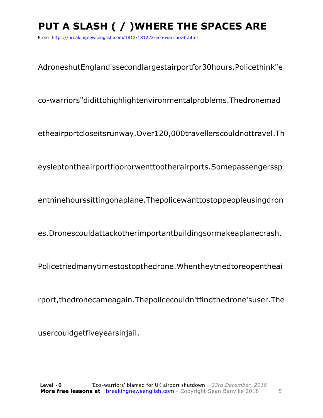# PUT A SLASH ( / ) WHERE THE SPACES ARE

From https://breakingnewsenglish.com/1812/181223-eco-warriors-0.html

AdroneshutEngland'ssecondlargestairportfor30hours.Policethink"e

co-warriors"didittohighlightenvironmentalproblems. Thedronemad

etheairportcloseitsrunway.Over120,000travellerscouldnottravel.Th

eysleptontheairportfloororwenttootherairports.Somepassengerssp

entninehourssittingonaplane. The police want to stoppe ople using dron

es.Dronescouldattackotherimportantbuildingsormakeaplanecrash.

Policetriedmanytimestostopthedrone. When they tried to reopen the ai

rport, the drone came again. The police couldn't find the drone's user. The

usercouldgetfiveyearsinjail.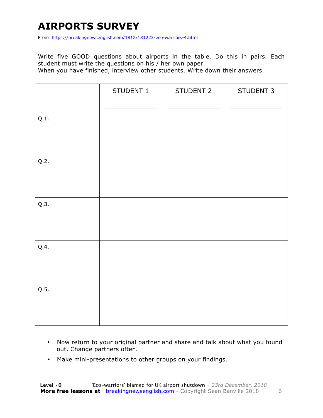# **AIRPORTS SURVEY**

From https://breakingnewsenglish.com/1812/181223-eco-warriors-4.html

Write five GOOD questions about airports in the table. Do this in pairs. Each student must write the questions on his / her own paper.

When you have finished, interview other students. Write down their answers.

|      | STUDENT 1 | STUDENT 2 | STUDENT 3 |
|------|-----------|-----------|-----------|
| Q.1. |           |           |           |
| Q.2. |           |           |           |
| Q.3. |           |           |           |
| Q.4. |           |           |           |
| Q.5. |           |           |           |

- Now return to your original partner and share and talk about what you found out. Change partners often.
- Make mini-presentations to other groups on your findings.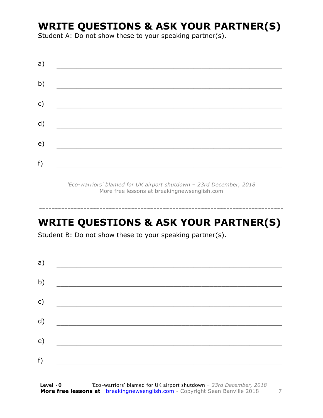#### **WRITE QUESTIONS & ASK YOUR PARTNER(S)**

Student A: Do not show these to your speaking partner(s).

| a) |  |  |
|----|--|--|
| b) |  |  |
| c) |  |  |
| d) |  |  |
| e) |  |  |
| f) |  |  |
|    |  |  |

*'Eco-warriors' blamed for UK airport shutdown – 23rd December, 2018* More free lessons at breakingnewsenglish.com

#### **WRITE QUESTIONS & ASK YOUR PARTNER(S)**

-----------------------------------------------------------------------------

Student B: Do not show these to your speaking partner(s).

| a) |  |  |
|----|--|--|
| b) |  |  |
| c) |  |  |
| d) |  |  |
| e) |  |  |
| f) |  |  |
|    |  |  |

**Level ·0** 'Eco-warriors' blamed for UK airport shutdown *– 23rd December, 2018* **More free lessons at** breakingnewsenglish.com - Copyright Sean Banville 2018 7